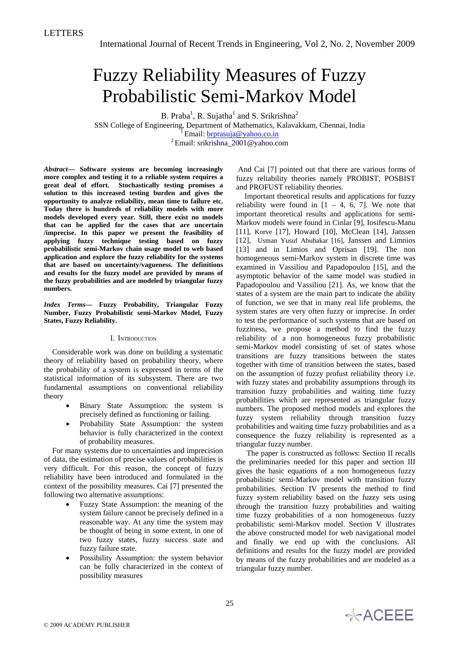# Fuzzy Reliability Measures of Fuzzy Probabilistic Semi-Markov Model

B. Praba<sup>1</sup>, R. Sujatha<sup>1</sup> and S. Srikrishna<sup>2</sup>

SSN College of Engineering, Department of Mathematics, Kalavakkam, Chennai, India<br>
<sup>1</sup> Email: <u>brprasuja@yahoo.co.in</u><br>
<sup>2</sup> Email: srikrishna\_2001@yahoo.com

*Abstract***— Software systems are becoming increasingly more complex and testing it to a reliable system requires a great deal of effort. Stochastically testing promises a solution to this increased testing burden and gives the opportunity to analyze reliability, mean time to failure etc. Today there is hundreds of reliability models with more models developed every year. Still, there exist no models that can be applied for the cases that are uncertain /imprecise. In this paper we present the feasibility of applying fuzzy technique testing based on fuzzy probabilistic semi-Markov chain usage model to web based application and explore the fuzzy reliability for the systems that are based on uncertainty/vagueness. The definitions and results for the fuzzy model are provided by means of the fuzzy probabilities and are modeled by triangular fuzzy numbers.** 

*Index Terms***— Fuzzy Probability, Triangular Fuzzy Number, Fuzzy Probabilistic semi-Markov Model, Fuzzy States, Fuzzy Reliability.** 

# I. INTRODUCTION

Considerable work was done on building a systematic theory of reliability based on probability theory, where the probability of a system is expressed in terms of the statistical information of its subsystem. There are two fundamental assumptions on conventional reliability theory

- Binary State Assumption: the system is precisely defined as functioning or failing.
- Probability State Assumption: the system behavior is fully characterized in the context of probability measures.

For many systems due to uncertainties and imprecision of data, the estimation of precise values of probabilities is very difficult. For this reason, the concept of fuzzy reliability have been introduced and formulated in the context of the possibility measures. Cai [7] presented the following two alternative assumptions:

- Fuzzy State Assumption: the meaning of the system failure cannot be precisely defined in a reasonable way. At any time the system may be thought of being in some extent, in one of two fuzzy states, fuzzy success state and fuzzy failure state.
- Possibility Assumption: the system behavior can be fully characterized in the context of possibility measures

 And Cai [7] pointed out that there are various forms of fuzzy reliability theories namely PROBIST, POSBIST and PROFUST reliability theories.

Important theoretical results and applications for fuzzy reliability were found in  $[1 - 4, 6, 7]$ . We note that important theoretical results and applications for semi-Markov models were found in Cinlar [9], Iosifescu-Manu [11], Korve [17], Howard [10], McClean [14], Janssen [12], Usman Yusuf Abubakar [16], Janssen and Limnios [13] and in Limios and Oprisan [19]. The non homogeneous semi-Markov system in discrete time was examined in Vassiliou and Papadopoulou [15], and the asymptotic behavior of the same model was studied in Papadopoulou and Vassiliou [21]. As, we know that the states of a system are the main part to indicate the ability of function, we see that in many real life problems, the system states are very often fuzzy or imprecise. In order to test the performance of such systems that are based on fuzziness, we propose a method to find the fuzzy reliability of a non homogeneous fuzzy probabilistic semi-Markov model consisting of set of states whose transitions are fuzzy transitions between the states together with time of transition between the states, based on the assumption of fuzzy profust reliability theory i.e. with fuzzy states and probability assumptions through its transition fuzzy probabilities and waiting time fuzzy probabilities which are represented as triangular fuzzy numbers. The proposed method models and explores the fuzzy system reliability through transition fuzzy probabilities and waiting time fuzzy probabilities and as a consequence the fuzzy reliability is represented as a triangular fuzzy number.

 The paper is constructed as follows: Section II recalls the preliminaries needed for this paper and section III gives the basic equations of a non homogeneous fuzzy probabilistic semi-Markov model with transition fuzzy probabilities. Section IV presents the method to find fuzzy system reliability based on the fuzzy sets using through the transition fuzzy probabilities and waiting time fuzzy probabilities of a non homogeneous fuzzy probabilistic semi-Markov model. Section V illustrates the above constructed model for web navigational model and finally we end up with the conclusions. All definitions and results for the fuzzy model are provided by means of the fuzzy probabilities and are modeled as a triangular fuzzy number.

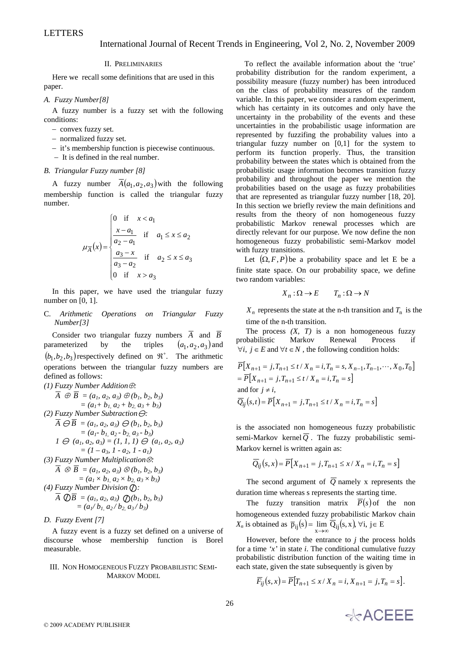# II. PRELIMINARIES

Here we recall some definitions that are used in this paper.

# *A. Fuzzy Number[8]*

A fuzzy number is a fuzzy set with the following conditions:

- − convex fuzzy set.
- − normalized fuzzy set.
- − it's membership function is piecewise continuous.
- − It is defined in the real number.

## *B. Triangular Fuzzy number [8]*

A fuzzy number  $\overline{A}(a_1, a_2, a_3)$  with the following membership function is called the triangular fuzzy number.

$$
\mu_{\overline{A}}(x) = \begin{cases}\n0 & \text{if } x < a_1 \\
\frac{x - a_1}{a_2 - a_1} & \text{if } a_1 \le x \le a_2 \\
\frac{a_3 - x}{a_3 - a_2} & \text{if } a_2 \le x \le a_3 \\
0 & \text{if } x > a_3\n\end{cases}
$$

In this paper, we have used the triangular fuzzy number on [0, 1].

C. *Arithmetic Operations on Triangular Fuzzy Number[3]* 

Consider two triangular fuzzy numbers  $\overline{A}$  and  $\overline{B}$ parameterized by the triples  $(a_1, a_2, a_3)$  and  $(b_1, b_2, b_3)$  respectively defined on  $\mathfrak{R}^+$ . The arithmetic operations between the triangular fuzzy numbers are defined as follows: *(1) Fuzzy Number Addition*⊕*:* 

(1) Fuzzy Number Addition
$$
\overline{A} \oplus \overline{B} = (a_1, a_2, a_3) \oplus (b_1, b_2, b_3)
$$

$$
= (a_1 + b_1, a_2 + b_2, a_3 + b_3)
$$
  
(2) Fuzzy Number Subtraction  $\ominus$ :  

$$
\overline{A} \ominus \overline{B} = (a_1, a_2, a_3) \ominus (b_1, b_2, b_3)
$$

$$
= (a_1 - b_1, a_2 - b_2, a_3 - b_3)
$$

$$
I \ominus (a_1, a_2, a_3) = (I, I, I) \ominus (a_1, a_2, a_3)
$$

$$
= (I - a_3, I - a_2, I - a_1)
$$
  
(3) Fuzzy Number Multiplication $\otimes$ :  

$$
\overline{A} \otimes \overline{B} = (a_1, a_2, a_3) \otimes (b_1, b_2, b_3)
$$

$$
= (a_1 \times b_1, a_2 \times b_2, a_3 \times b_3)
$$

$$
= (a_1/b_1, a_2/b_2, a_3/b_3)
$$

## *D. Fuzzy Event [7]*

A fuzzy event is a fuzzy set defined on a universe of discourse whose membership function is Borel measurable.

## III. NON HOMOGENEOUS FUZZY PROBABILISTIC SEMI-MARKOV MODEL

To reflect the available information about the 'true' probability distribution for the random experiment, a possibility measure (fuzzy number) has been introduced on the class of probability measures of the random variable. In this paper, we consider a random experiment, which has certainty in its outcomes and only have the uncertainty in the probability of the events and these uncertainties in the probabilistic usage information are represented by fuzzifing the probability values into a triangular fuzzy number on [0,1] for the system to perform its function properly. Thus, the transition probability between the states which is obtained from the probabilistic usage information becomes transition fuzzy probability and throughout the paper we mention the probabilities based on the usage as fuzzy probabilities that are represented as triangular fuzzy number [18, 20]. In this section we briefly review the main definitions and results from the theory of non homogeneous fuzzy probabilistic Markov renewal processes which are directly relevant for our purpose. We now define the non homogeneous fuzzy probabilistic semi-Markov model with fuzzy transitions.

Let  $(\Omega, F, P)$  be a probability space and let E be a finite state space. On our probability space, we define two random variables:

$$
X_n : \Omega \to E \qquad T_n : \Omega \to N
$$

 $X_n$  represents the state at the n-th transition and  $T_n$  is the time of the n-th transition.

The process  $(X, T)$  is a non homogeneous fuzzy probabilistic Markov Renewal Process if  $∀i, j ∈ E$  and  $∀t ∈ N$ , the following condition holds:

$$
\overline{P}[X_{n+1} = j, T_{n+1} \le t / X_n = i, T_n = s, X_{n-1}, T_{n-1}, \dots, X_0, T_0]
$$
  
=  $\overline{P}[X_{n+1} = j, T_{n+1} \le t / X_n = i, T_n = s]$   
and for  $j \ne i$ ,  
 $\overline{Q}_{ij}(s, t) = \overline{P}[X_{n+1} = j, T_{n+1} \le t / X_n = i, T_n = s]$ 

is the associated non homogeneous fuzzy probabilistic semi-Markov kernel  $\overline{Q}$ . The fuzzy probabilistic semi-Markov kernel is written again as:

$$
\overline{Q}_{ij}(s,x) = \overline{P}[X_{n+1} = j, T_{n+1} \le x / X_n = i, T_n = s]
$$

The second argument of  $\overline{Q}$  namely x represents the duration time whereas s represents the starting time.

The fuzzy transition matrix  $\overline{P}(s)$  of the non homogeneous extended fuzzy probabilistic Markov chain *X<sub>n</sub>* is obtained as  $\overline{p}_{ij}(s) = \lim_{x \to \infty} \overline{Q}_{ij}(s, x), \forall i, j \in E$ 

However, before the entrance to  $j$  the process holds for a time *'x'* in state *i*. The conditional cumulative fuzzy probabilistic distribution function of the waiting time in each state, given the state subsequently is given by

$$
\overline{F}_{ij}(s,x) = \overline{P}[T_{n+1} \le x \mid X_n = i, X_{n+1} = j, T_n = s].
$$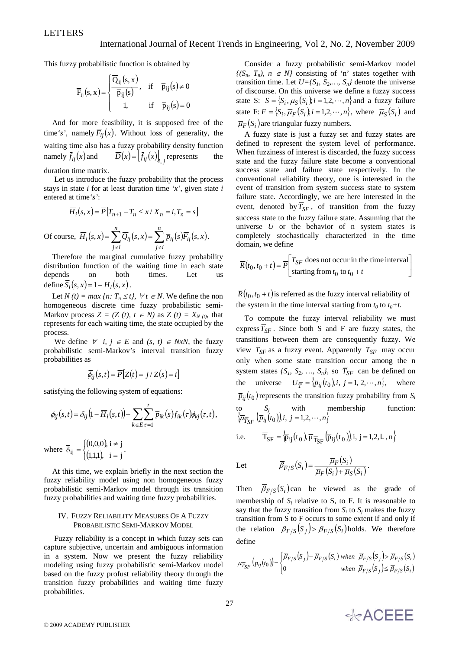This fuzzy probabilistic function is obtained by

$$
\overline{F}_{ij}(s, x) = \begin{cases}\n\overline{Q}_{ij}(s, x) & \text{if } \overline{p}_{ij}(s) \neq 0 \\
\overline{p}_{ij}(s) & \text{if } \overline{p}_{ij}(s) = 0 \\
1 & \text{if } \overline{p}_{ij}(s) = 0\n\end{cases}
$$

And for more feasibility, it is supposed free of the time's', namely  $\overline{F}_{ii}(x)$ . Without loss of generality, the waiting time also has a fuzzy probability density function namely  $f_{ij}(x)$  and  $\overline{D}(x) = [f_{ij}(x)]_{i,j}$  represents the

duration time matrix.

 Let us introduce the fuzzy probability that the process stays in state *i* for at least duration time *'x'*, given state *i* entered at time*'s'*:

$$
\overline{H}_i(s,x) = \overline{P}[T_{n+1} - T_n \le x / X_n = i, T_n = s]
$$

Of course,  $\overline{H}_i(s, x) = \sum_{j \neq i} \overline{Q}_{ij}(s, x) = \sum_{j \neq i} \overline{p}_{ij}(s) \overline{F}_{ij}(s, x)$ *n j i ij ij n j i*  $H_i(s, x) = \sum Q_{ij}(s, x) = \sum \overline{p}_{ij}(s) F_{ij}(s, x)$ .

Therefore the marginal cumulative fuzzy probability distribution function of the waiting time in each state depends on both times. Let us define  $\overline{S}_i(s, x) = 1 - \overline{H}_i(s, x)$ .

Let  $N(t) = max\{n: T_n \leq t\}, \forall t \in N$ . We define the non homogeneous discrete time fuzzy probabilistic semi-Markov process  $Z = (Z(t), t \in N)$  as  $Z(t) = X_{N(t)}$ , that represents for each waiting time, the state occupied by the process.

We define  $\forall$  *i, j*  $\in$  *E* and *(s, t)*  $\in$  *NxN*, the fuzzy probabilistic semi-Markov's interval transition fuzzy probabilities as

$$
\overline{\phi}_{ij}(s,t) = \overline{P}\big[Z(t) = j \, / \, Z(s) = i\big]
$$

satisfying the following system of equations:

$$
\overline{\phi}_{ij}(s,t) = \overline{\delta}_{ij} \big(1 - \overline{H}_i(s,t)\big) + \sum_{k \in E} \sum_{\tau=1}^t \overline{p}_{ik}(s) \overline{f}_{ik}(\tau) \overline{\phi}_{kj}(\tau,t),
$$

where  $\overline{\delta}_{ii} = \begin{cases} (0,0,0) \\ (0,1,0) \end{cases}$  $(1,1,1)$ ⎧ =  $\overline{\delta}_{ij} = \begin{cases} (0,0,0), i \neq j \\ (1,1,1), i = j \end{cases}.$ 

At this time, we explain briefly in the next section the fuzzy reliability model using non homogeneous fuzzy probabilistic semi-Markov model through its transition fuzzy probabilities and waiting time fuzzy probabilities.

## IV. FUZZY RELIABILITY MEASURES OF A FUZZY PROBABILISTIC SEMI-MARKOV MODEL

 Fuzzy reliability is a concept in which fuzzy sets can capture subjective, uncertain and ambiguous information in a system. Now we present the fuzzy reliability modeling using fuzzy probabilistic semi-Markov model based on the fuzzy profust reliability theory through the transition fuzzy probabilities and waiting time fuzzy probabilities.

Consider a fuzzy probabilistic semi-Markov model  ${(S_n, T_n), n \in N}$  consisting of 'n' states together with transition time. Let  $U=[S_1, S_2, \ldots, S_n]$  denote the universe of discourse. On this universe we define a fuzzy success state S:  $S = \{S_i, \overline{\mu}_S(S_i)\}\$ *i* = 1,2,…, *n*} and a fuzzy failure state F:  $F = \{S_i, \overline{\mu}_F(S_i); i = 1, 2, \dots, n\}$ , where  $\overline{\mu}_S(S_i)$  and  $\overline{\mu}_F(S_i)$  are triangular fuzzy numbers.

A fuzzy state is just a fuzzy set and fuzzy states are defined to represent the system level of performance. When fuzziness of interest is discarded, the fuzzy success state and the fuzzy failure state become a conventional success state and failure state respectively. In the conventional reliability theory, one is interested in the event of transition from system success state to system failure state. Accordingly, we are here interested in the event, denoted by  $\overline{T}_{SF}$ , of transition from the fuzzy success state to the fuzzy failure state. Assuming that the universe *U* or the behavior of n system states is completely stochastically characterized in the time domain, we define

$$
\overline{R}(t_0, t_0 + t) = \overline{P}\left[\frac{\overline{T}_{SF} \text{ does not occur in the time interval}}{\text{starting from } t_0 \text{ to } t_0 + t}\right]
$$

 $\overline{R}(t_0, t_0 + t)$  is referred as the fuzzy interval reliability of the system in the time interval starting from  $t_0$  to  $t_0+t$ .

To compute the fuzzy interval reliability we must express  $\overline{T}_{SF}$ . Since both S and F are fuzzy states, the transitions between them are consequently fuzzy. We view  $\overline{T}_{SF}$  as a fuzzy event. Apparently  $\overline{T}_{SF}$  may occur only when some state transition occur among the n system states  $\{S_1, S_2, ..., S_n\}$ , so  $\overline{T}_{SF}$  can be defined on the universe  $U_{\overline{T}} = \{ \overline{p}_{ij}(t_0), i, j = 1, 2, \dots, n \},$  where  $\overline{p}_{ii}(t_0)$  represents the transition fuzzy probability from  $S_i$ to  $S_j$  with membership function:  $\langle \overline{\mu}_{\overline{T}_{SF}}(\overline{p}_{ij}(t_0))|i, j=1,2,\cdots,n\rangle$ 

i.e. 
$$
\overline{T}_{SF} = \overleftarrow{p}_{ij}(t_0), \overline{\mu}_{\overline{T}_{SF}}(\overline{p}_{ij}(t_0))
$$
, i, j = 1,2,L, n}

 $F/S(S_i) = \frac{\overline{\mu}_F(S_i)}{\overline{\mu}_F(S_i) + \overline{\mu}_S(S_i)}$  $\overline{\beta}_{F/S}(S_i) = \frac{\mu_F(S_i)}{\overline{\mu}_F(S_i) + \overline{\mu}_S(S_i)}.$ 

Let  $\overline{\beta}_{F/S}(S_i) = \frac{\overline{\mu}_F(S_i)}{\overline{\mu}_F(S_i)}$ 

Then  $\overline{\beta}_{F/S}(S_i)$  can be viewed as the grade of membership of  $S_i$  relative to  $S_i$ , to  $F$ . It is reasonable to say that the fuzzy transition from  $S_i$  to  $S_j$  makes the fuzzy transition from S to F occurs to some extent if and only if the relation  $\overline{\beta}_{F/S}(S_i) > \overline{\beta}_{F/S}(S_i)$  holds. We therefore define

 $F(S_i)$  +  $\overline{\mu}_S(S_i)$ 

$$
\overline{\mu}_{\overline{T}_{SF}}\left(\overline{p}_{ij}(t_0)\right) = \begin{cases} \overline{\beta}_{F/S}\left(S_j\right) - \overline{\beta}_{F/S}\left(S_i\right) \text{ when } \overline{\beta}_{F/S}\left(S_j\right) > \overline{\beta}_{F/S}\left(S_i\right) \\ 0 & \text{when } \overline{\beta}_{F/S}\left(S_j\right) \le \overline{\beta}_{F/S}\left(S_i\right) \end{cases}
$$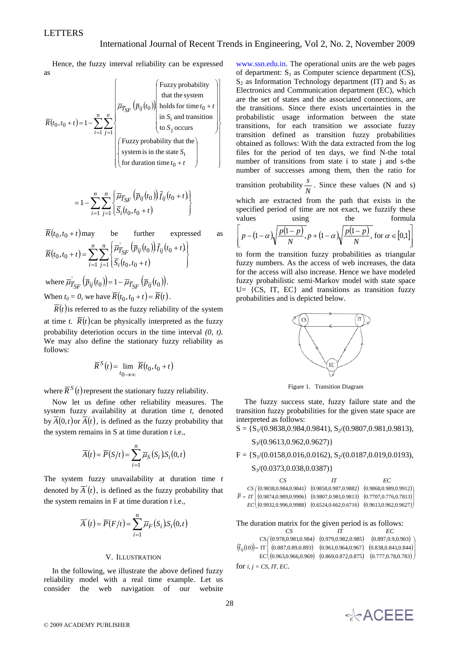Hence, the fuzzy interval reliability can be expressed as

$$
\overline{R}(t_0, t_0 + t) = 1 - \sum_{i=1}^{n} \sum_{j=1}^{n} \begin{bmatrix} \sum_{j=1}^{n} \left( \overline{p}_{ij}(t_0) \right) & \text{fulzity} \\ \text{that the system} \\ \text{holds for time } t_0 + t \\ \text{in } S_i \text{ and transition} \\ \text{to } S_j \text{ occurs} \\ \text{system is in the state } S_i \\ \text{for duration time } t_0 + t \end{bmatrix}
$$

$$
=1-\sum_{i=1}^{n}\sum_{j=1}^{n}\left\{\frac{\overline{\mu}_{\overline{T}_{SF}}(\overline{p}_{ij}(t_0))\overline{f}_{ij}(t_0+t)}{\overline{S}_{i}(t_0,t_0+t)}\right\}
$$

$$
\overline{R}(t_0, t_0 + t) \text{ may} \text{ be further expressed as}
$$
\n
$$
\overline{R}(t_0, t_0 + t) = \sum_{i=1}^{n} \sum_{j=1}^{n} \left\{ \overline{\mu}_{\overline{T}_{SF}}^{\cdot} (\overline{p}_{ij}(t_0)) \overline{f}_{ij}(t_0 + t) \right\}
$$
\nwhere  $\overline{\mu}_{\overline{T}_{SF}}^{\cdot} (\overline{p}_{ij}(t_0)) = 1 - \overline{\mu}_{\overline{T}_{SF}} (\overline{p}_{ij}(t_0))$ .  
\nWhen  $t_0 = 0$ , we have  $\overline{R}(t_0, t_0 + t) = \overline{R}(t)$ .

 $\overline{R}(t)$  is referred to as the fuzzy reliability of the system at time *t*.  $\overline{R}(t)$  can be physically interpreted as the fuzzy probability deteriotion occurs in the time interval *(0, t)*. We may also define the stationary fuzzy reliability as follows:

$$
\overline{R}^{S}(t) = \lim_{t_0 \to \infty} \overline{R}(t_0, t_0 + t)
$$

where  $\overline{R}^{S}(t)$  represent the stationary fuzzy reliability.

Now let us define other reliability measures. The system fuzzy availability at duration time *t*, denoted by  $\overline{A}(0,t)$  or  $\overline{A}(t)$ , is defined as the fuzzy probability that the system remains in S at time duration *t* i.e.,

$$
\overline{A}(t) = \overline{P}(S/t) = \sum_{i=1}^{n} \overline{\mu}_{S}(S_i) S_i(0, t)
$$

The system fuzzy unavailability at duration time *t* denoted by  $\overline{A}(t)$ , is defined as the fuzzy probability that the system remains in F at time duration *t* i.e.,

$$
\overline{A}'(t) = \overline{P}(F/t) = \sum_{i=1}^{n} \overline{\mu}_F(S_i) S_i(0,t)
$$

#### V. ILLUSTRATION

In the following, we illustrate the above defined fuzzy reliability model with a real time example. Let us consider the web navigation of our website www.ssn.edu.in. The operational units are the web pages of department:  $S_1$  as Computer science department (CS),  $S_2$  as Information Technology department (IT) and  $S_3$  as Electronics and Communication department (EC), which are the set of states and the associated connections, are the transitions. Since there exists uncertainties in the probabilistic usage information between the state transitions, for each transition we associate fuzzy transition defined as transition fuzzy probabilities obtained as follows: With the data extracted from the log files for the period of ten days, we find N-the total number of transitions from state i to state j and s-the number of successes among them, then the ratio for

transition probability  $\frac{s}{N}$ . Since these values (N and s)

which are extracted from the path that exists in the specified period of time are not exact, we fuzzify these values using the formula

$$
\[ p - (1 - \alpha) \sqrt{\frac{p(1-p)}{N}}, p + (1 - \alpha) \sqrt{\frac{p(1-p)}{N}}, \text{ for } \alpha \in [0,1] \]
$$

to form the transition fuzzy probabilities as triangular fuzzy numbers. As the access of web increases, the data for the access will also increase. Hence we have modeled fuzzy probabilistic semi-Markov model with state space  $U = \{CS, IT, EC\}$  and transitions as transition fuzzy probabilities and is depicted below.



Figure 1. Transition Diagram

The fuzzy success state, fuzzy failure state and the transition fuzzy probabilities for the given state space are interpreted as follows:

 $S = \{S_1/(0.9838, 0.984, 0.9841), S_2/(0.9807, 0.981, 0.9813)\}$ 

 $S_3$ /(0.9613,0.962,0.9627)}

 $F = \{S_1/(0.0158, 0.016, 0.0162), S_2/(0.0187, 0.019, 0.0193),$ 

 $S_3$ /(0.0373,0.038,0.0387)}

| €S                                                                                                           | EС |
|--------------------------------------------------------------------------------------------------------------|----|
| $CS( (0.9838, 0.984, 0.9841) (0.9858, 0.987, 0.9882) (0.9868, 0.989, 0.9912) )$                              |    |
| $\overline{P} = IT \mid (0.9874, 0.989, 0.9906) \quad (0.9807, 0.981, 0.9813) \quad (0.7707, 0.776, 0.7813)$ |    |
| $EC($ (0.9932,0.996,0.9988) (0.6524,0.662,0.6716) (0.9613,0.962,0.9627))                                     |    |

The duration matrix for the given period is as follows:

 *CS IT EC*   $(\bar{f}_{ij}(10)) = \text{IT} \begin{pmatrix} (0.887, 0.89, 0.893) & (0.961, 0.964, 0.967) & (0.838, 0.841, 0.844) \\ (0.887, 0.89, 0.893) & (0.961, 0.964, 0.967) & (0.838, 0.841, 0.844) \end{pmatrix}$  $CS( (0.978, 0.981, 0.984) (0.979, 0.982, 0.985) (0.897, 0.9, 0.903)$  $\text{EC} \big( ( 0.963 , 0.966 , 0.969 ) \; \; ( 0.869 , 0.872 , 0.875 ) \; \; \; ( 0.777 , 0.78 , 0.783 ) \, \big)$ ⎞ for *i, j = CS, IT, EC*.